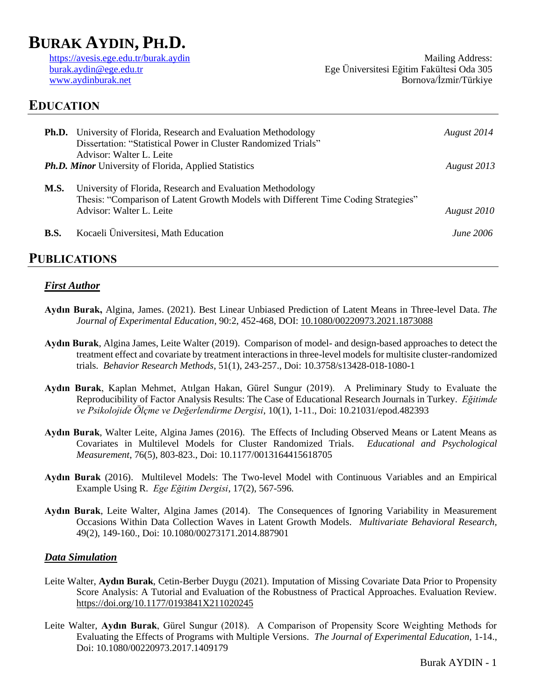# **BURAK AYDIN, PH.D.**

<https://avesis.ege.edu.tr/burak.aydin> [burak.aydin@ege.edu.tr](mailto:burak.aydin@ege.edu.tr) [www.aydinburak.net](http://www.aydinburak.net/)

Mailing Address: Ege Üniversitesi Eğitim Fakültesi Oda 305 Bornova/İzmir/Türkiye

## **EDUCATION**

|                                                              | <b>Ph.D.</b> University of Florida, Research and Evaluation Methodology<br>Dissertation: "Statistical Power in Cluster Randomized Trials"<br>Advisor: Walter L. Leite        | August 2014 |
|--------------------------------------------------------------|------------------------------------------------------------------------------------------------------------------------------------------------------------------------------|-------------|
| <b>Ph.D. Minor</b> University of Florida, Applied Statistics |                                                                                                                                                                              | August 2013 |
| <b>M.S.</b>                                                  | University of Florida, Research and Evaluation Methodology<br>Thesis: "Comparison of Latent Growth Models with Different Time Coding Strategies"<br>Advisor: Walter L. Leite | August 2010 |
| <b>B.S.</b>                                                  | Kocaeli Üniversitesi, Math Education                                                                                                                                         | June 2006   |
|                                                              |                                                                                                                                                                              |             |

## **PUBLICATIONS**

#### *First Author*

- **Aydın Burak,** Algina, James. (2021). Best Linear Unbiased Prediction of Latent Means in Three-level Data. *The Journal of Experimental Education*, 90:2, 452-468, DOI: [10.1080/00220973.2021.1873088](https://doi.org/10.1080/00220973.2021.1873088)
- **Aydın Burak**, Algina James, Leite Walter (2019). Comparison of model- and design-based approaches to detect the treatment effect and covariate by treatment interactions in three-level models for multisite cluster-randomized trials. *Behavior Research Methods*, 51(1), 243-257., Doi: 10.3758/s13428-018-1080-1
- **Aydın Burak**, Kaplan Mehmet, Atılgan Hakan, Gürel Sungur (2019). A Preliminary Study to Evaluate the Reproducibility of Factor Analysis Results: The Case of Educational Research Journals in Turkey. *Eğitimde ve Psikolojide Ölçme ve Değerlendirme Dergisi*, 10(1), 1-11., Doi: 10.21031/epod.482393
- **Aydın Burak**, Walter Leite, Algina James (2016). The Effects of Including Observed Means or Latent Means as Covariates in Multilevel Models for Cluster Randomized Trials. *Educational and Psychological Measurement*, 76(5), 803-823., Doi: 10.1177/0013164415618705
- **Aydın Burak** (2016). Multilevel Models: The Two-level Model with Continuous Variables and an Empirical Example Using R. *Ege Eğitim Dergisi*, 17(2), 567-596.
- **Aydın Burak**, Leite Walter, Algina James (2014). The Consequences of Ignoring Variability in Measurement Occasions Within Data Collection Waves in Latent Growth Models. *Multivariate Behavioral Research,* 49(2), 149-160., Doi: 10.1080/00273171.2014.887901

#### *Data Simulation*

- Leite Walter, **Aydın Burak**, Cetin-Berber Duygu (2021). Imputation of Missing Covariate Data Prior to Propensity Score Analysis: A Tutorial and Evaluation of the Robustness of Practical Approaches. Evaluation Review. <https://doi.org/10.1177/0193841X211020245>
- Leite Walter, **Aydın Burak**, Gürel Sungur (2018). A Comparison of Propensity Score Weighting Methods for Evaluating the Effects of Programs with Multiple Versions. *The Journal of Experimental Education,* 1-14., Doi: 10.1080/00220973.2017.1409179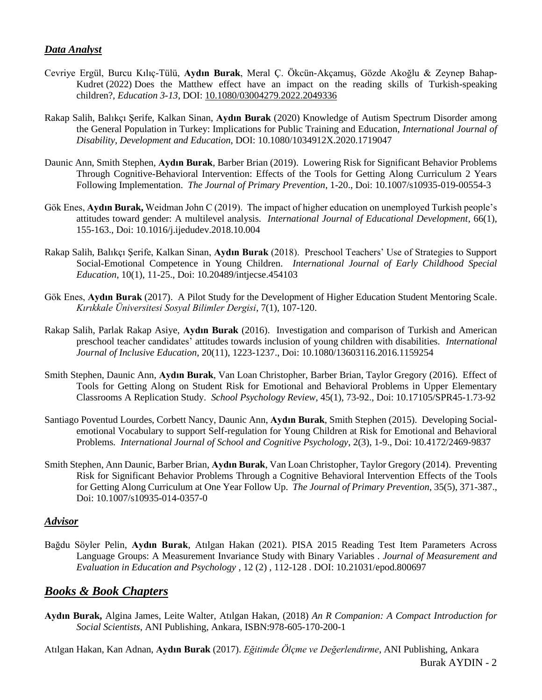#### *Data Analyst*

- Cevriye Ergül, Burcu Kılıç-Tülü, **Aydın Burak**, Meral Ç. Ökcün-Akçamuş, Gözde Akoğlu & Zeynep Bahap-Kudret (2022) Does the Matthew effect have an impact on the reading skills of Turkish-speaking children?, *Education 3-13*, DOI: [10.1080/03004279.2022.2049336](https://doi.org/10.1080/03004279.2022.2049336)
- Rakap Salih, Balıkçı Şerife, Kalkan Sinan, **Aydın Burak** (2020) Knowledge of Autism Spectrum Disorder among the General Population in Turkey: Implications for Public Training and Education, *International Journal of Disability, Development and Education*, DOI: 10.1080/1034912X.2020.1719047
- Daunic Ann, Smith Stephen, **Aydın Burak**, Barber Brian (2019). Lowering Risk for Significant Behavior Problems Through Cognitive-Behavioral Intervention: Effects of the Tools for Getting Along Curriculum 2 Years Following Implementation. *The Journal of Primary Prevention*, 1-20., Doi: 10.1007/s10935-019-00554-3
- Gök Enes, **Aydın Burak,** Weidman John C (2019). The impact of higher education on unemployed Turkish people's attitudes toward gender: A multilevel analysis. *International Journal of Educational Development*, 66(1), 155-163., Doi: 10.1016/j.ijedudev.2018.10.004
- Rakap Salih, Balıkçı Şerife, Kalkan Sinan, **Aydın Burak** (2018). Preschool Teachers' Use of Strategies to Support Social-Emotional Competence in Young Children. *International Journal of Early Childhood Special Education*, 10(1), 11-25., Doi: 10.20489/intjecse.454103
- Gök Enes, **Aydın Burak** (2017). A Pilot Study for the Development of Higher Education Student Mentoring Scale. *Kırıkkale Üniversitesi Sosyal Bilimler Dergisi*, 7(1), 107-120.
- Rakap Salih, Parlak Rakap Asiye, **Aydın Burak** (2016). Investigation and comparison of Turkish and American preschool teacher candidates' attitudes towards inclusion of young children with disabilities. *International Journal of Inclusive Education*, 20(11), 1223-1237., Doi: 10.1080/13603116.2016.1159254
- Smith Stephen, Daunic Ann, **Aydın Burak**, Van Loan Christopher, Barber Brian, Taylor Gregory (2016). Effect of Tools for Getting Along on Student Risk for Emotional and Behavioral Problems in Upper Elementary Classrooms A Replication Study. *School Psychology Review*, 45(1), 73-92., Doi: 10.17105/SPR45-1.73-92
- Santiago Poventud Lourdes, Corbett Nancy, Daunic Ann, **Aydın Burak**, Smith Stephen (2015). Developing Socialemotional Vocabulary to support Self-regulation for Young Children at Risk for Emotional and Behavioral Problems*. International Journal of School and Cognitive Psychology*, 2(3), 1-9., Doi: 10.4172/2469-9837
- Smith Stephen, Ann Daunic, Barber Brian, **Aydın Burak**, Van Loan Christopher, Taylor Gregory (2014). Preventing Risk for Significant Behavior Problems Through a Cognitive Behavioral Intervention Effects of the Tools for Getting Along Curriculum at One Year Follow Up. *The Journal of Primary Prevention*, 35(5), 371-387., Doi: 10.1007/s10935-014-0357-0

#### *Advisor*

Bağdu Söyler Pelin, **Aydın Burak**, Atılgan Hakan (2021). PISA 2015 Reading Test Item Parameters Across Language Groups: A Measurement Invariance Study with Binary Variables . *Journal of Measurement and Evaluation in Education and Psychology* , 12 (2) , 112-128 . DOI: 10.21031/epod.800697

#### *Books & Book Chapters*

**Aydın Burak,** Algina James, Leite Walter, Atılgan Hakan, (2018) *An R Companion: A Compact Introduction for Social Scientists*, ANI Publishing, Ankara, ISBN:978-605-170-200-1

Burak AYDIN - 2 Atılgan Hakan, Kan Adnan, **Aydın Burak** (2017). *Eğitimde Ölçme ve Değerlendirme*, ANI Publishing, Ankara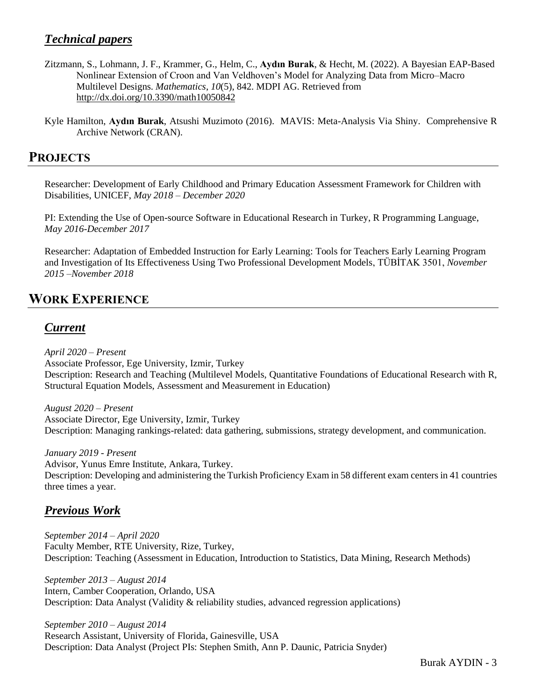## *Technical papers*

- Zitzmann, S., Lohmann, J. F., Krammer, G., Helm, C., **Aydın Burak**, & Hecht, M. (2022). A Bayesian EAP-Based Nonlinear Extension of Croon and Van Veldhoven's Model for Analyzing Data from Micro–Macro Multilevel Designs. *Mathematics*, *10*(5), 842. MDPI AG. Retrieved from <http://dx.doi.org/10.3390/math10050842>
- Kyle Hamilton, **Aydın Burak**, Atsushi Muzimoto (2016). MAVIS: Meta-Analysis Via Shiny. Comprehensive R Archive Network (CRAN).

## **PROJECTS**

Researcher: Development of Early Childhood and Primary Education Assessment Framework for Children with Disabilities, UNICEF, *May 2018 – December 2020*

PI: Extending the Use of Open-source Software in Educational Research in Turkey, R Programming Language, *May 2016-December 2017*

Researcher: Adaptation of Embedded Instruction for Early Learning: Tools for Teachers Early Learning Program and Investigation of Its Effectiveness Using Two Professional Development Models, TÜBİTAK 3501, *November 2015 –November 2018*

## **WORK EXPERIENCE**

## *Current*

*April 2020 – Present* Associate Professor, Ege University, Izmir, Turkey Description: Research and Teaching (Multilevel Models, Quantitative Foundations of Educational Research with R, Structural Equation Models, Assessment and Measurement in Education)

*August 2020 – Present* Associate Director, Ege University, Izmir, Turkey Description: Managing rankings-related: data gathering, submissions, strategy development, and communication.

*January 2019 - Present* Advisor, Yunus Emre Institute, Ankara, Turkey. Description: Developing and administering the Turkish Proficiency Exam in 58 different exam centers in 41 countries three times a year.

## *Previous Work*

*September 2014 – April 2020* Faculty Member, RTE University, Rize, Turkey, Description: Teaching (Assessment in Education, Introduction to Statistics, Data Mining, Research Methods)

*September 2013 – August 2014*  Intern, Camber Cooperation, Orlando, USA Description: Data Analyst (Validity & reliability studies, advanced regression applications)

*September 2010 – August 2014* Research Assistant, University of Florida, Gainesville, USA Description: Data Analyst (Project PIs: Stephen Smith, Ann P. Daunic, Patricia Snyder)